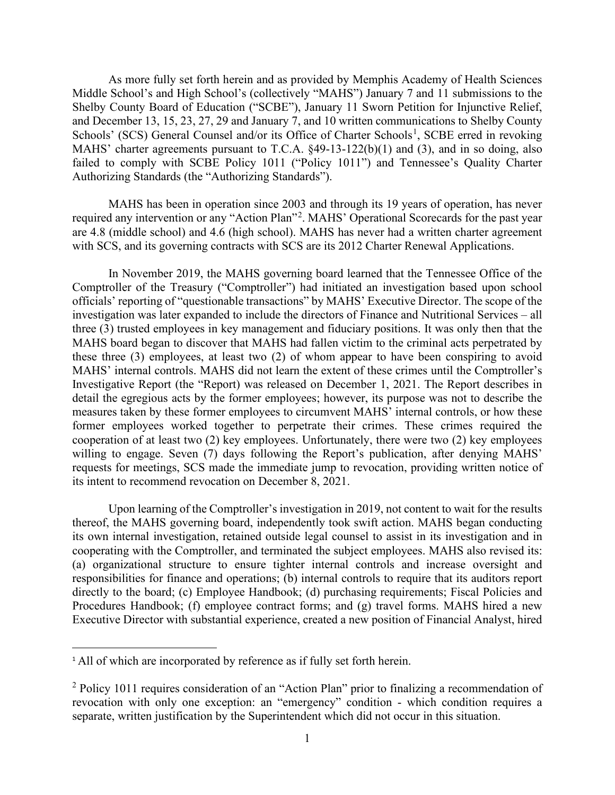As more fully set forth herein and as provided by Memphis Academy of Health Sciences Middle School's and High School's (collectively "MAHS") January 7 and 11 submissions to the Shelby County Board of Education ("SCBE"), January 11 Sworn Petition for Injunctive Relief, and December 13, 15, 23, 27, 29 and January 7, and 10 written communications to Shelby County Schools' (SCS) General Counsel and/or its Office of Charter Schools<sup>[1](#page-0-0)</sup>, SCBE erred in revoking MAHS' charter agreements pursuant to T.C.A. §49-13-122(b)(1) and (3), and in so doing, also failed to comply with SCBE Policy 1011 ("Policy 1011") and Tennessee's Quality Charter Authorizing Standards (the "Authorizing Standards").

MAHS has been in operation since 2003 and through its 19 years of operation, has never required any intervention or any "Action Plan"<sup>[2](#page-0-1)</sup>. MAHS' Operational Scorecards for the past year are 4.8 (middle school) and 4.6 (high school). MAHS has never had a written charter agreement with SCS, and its governing contracts with SCS are its 2012 Charter Renewal Applications.

In November 2019, the MAHS governing board learned that the Tennessee Office of the Comptroller of the Treasury ("Comptroller") had initiated an investigation based upon school officials' reporting of "questionable transactions" by MAHS' Executive Director. The scope of the investigation was later expanded to include the directors of Finance and Nutritional Services – all three (3) trusted employees in key management and fiduciary positions. It was only then that the MAHS board began to discover that MAHS had fallen victim to the criminal acts perpetrated by these three (3) employees, at least two (2) of whom appear to have been conspiring to avoid MAHS' internal controls. MAHS did not learn the extent of these crimes until the Comptroller's Investigative Report (the "Report) was released on December 1, 2021. The Report describes in detail the egregious acts by the former employees; however, its purpose was not to describe the measures taken by these former employees to circumvent MAHS' internal controls, or how these former employees worked together to perpetrate their crimes. These crimes required the cooperation of at least two (2) key employees. Unfortunately, there were two (2) key employees willing to engage. Seven (7) days following the Report's publication, after denying MAHS' requests for meetings, SCS made the immediate jump to revocation, providing written notice of its intent to recommend revocation on December 8, 2021.

Upon learning of the Comptroller's investigation in 2019, not content to wait for the results thereof, the MAHS governing board, independently took swift action. MAHS began conducting its own internal investigation, retained outside legal counsel to assist in its investigation and in cooperating with the Comptroller, and terminated the subject employees. MAHS also revised its: (a) organizational structure to ensure tighter internal controls and increase oversight and responsibilities for finance and operations; (b) internal controls to require that its auditors report directly to the board; (c) Employee Handbook; (d) purchasing requirements; Fiscal Policies and Procedures Handbook; (f) employee contract forms; and (g) travel forms. MAHS hired a new Executive Director with substantial experience, created a new position of Financial Analyst, hired

<span id="page-0-0"></span><sup>&</sup>lt;sup>1</sup> All of which are incorporated by reference as if fully set forth herein.

<span id="page-0-1"></span><sup>2</sup> Policy 1011 requires consideration of an "Action Plan" prior to finalizing a recommendation of revocation with only one exception: an "emergency" condition - which condition requires a separate, written justification by the Superintendent which did not occur in this situation.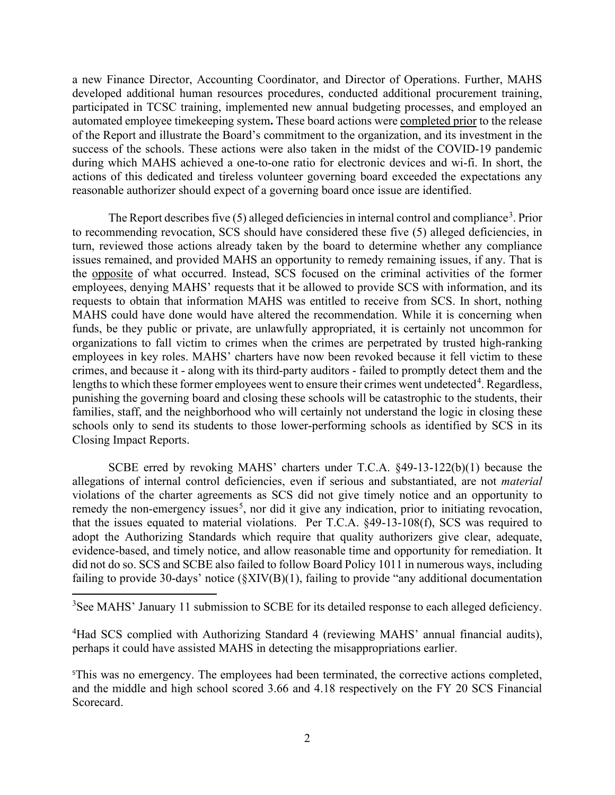a new Finance Director, Accounting Coordinator, and Director of Operations. Further, MAHS developed additional human resources procedures, conducted additional procurement training, participated in TCSC training, implemented new annual budgeting processes, and employed an automated employee timekeeping system**.** These board actions were completed prior to the release of the Report and illustrate the Board's commitment to the organization, and its investment in the success of the schools. These actions were also taken in the midst of the COVID-19 pandemic during which MAHS achieved a one-to-one ratio for electronic devices and wi-fi. In short, the actions of this dedicated and tireless volunteer governing board exceeded the expectations any reasonable authorizer should expect of a governing board once issue are identified.

The Report describes five (5) alleged deficiencies in internal control and compliance<sup>[3](#page-1-0)</sup>. Prior to recommending revocation, SCS should have considered these five (5) alleged deficiencies, in turn, reviewed those actions already taken by the board to determine whether any compliance issues remained, and provided MAHS an opportunity to remedy remaining issues, if any. That is the opposite of what occurred. Instead, SCS focused on the criminal activities of the former employees, denying MAHS' requests that it be allowed to provide SCS with information, and its requests to obtain that information MAHS was entitled to receive from SCS. In short, nothing MAHS could have done would have altered the recommendation. While it is concerning when funds, be they public or private, are unlawfully appropriated, it is certainly not uncommon for organizations to fall victim to crimes when the crimes are perpetrated by trusted high-ranking employees in key roles. MAHS' charters have now been revoked because it fell victim to these crimes, and because it - along with its third-party auditors - failed to promptly detect them and the lengths to which these former employees went to ensure their crimes went undetected<sup>[4](#page-1-1)</sup>. Regardless, punishing the governing board and closing these schools will be catastrophic to the students, their families, staff, and the neighborhood who will certainly not understand the logic in closing these schools only to send its students to those lower-performing schools as identified by SCS in its Closing Impact Reports.

SCBE erred by revoking MAHS' charters under T.C.A. §49-13-122(b)(1) because the allegations of internal control deficiencies, even if serious and substantiated, are not *material* violations of the charter agreements as SCS did not give timely notice and an opportunity to remedy the non-emergency issues<sup>[5](#page-1-2)</sup>, nor did it give any indication, prior to initiating revocation, that the issues equated to material violations. Per T.C.A. §49-13-108(f), SCS was required to adopt the Authorizing Standards which require that quality authorizers give clear, adequate, evidence-based, and timely notice, and allow reasonable time and opportunity for remediation. It did not do so. SCS and SCBE also failed to follow Board Policy 1011 in numerous ways, including failing to provide 30-days' notice (§XIV(B)(1), failing to provide "any additional documentation

<span id="page-1-0"></span><sup>3</sup>See MAHS' January 11 submission to SCBE for its detailed response to each alleged deficiency.

<span id="page-1-1"></span><sup>4</sup>Had SCS complied with Authorizing Standard 4 (reviewing MAHS' annual financial audits), perhaps it could have assisted MAHS in detecting the misappropriations earlier.

<span id="page-1-2"></span>5 This was no emergency. The employees had been terminated, the corrective actions completed, and the middle and high school scored 3.66 and 4.18 respectively on the FY 20 SCS Financial Scorecard.